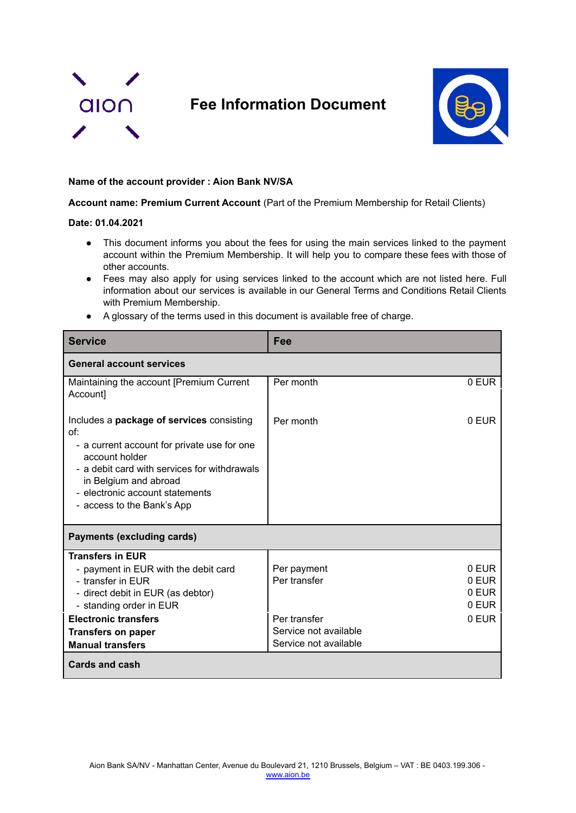

## **Fee Information Document**



## **Name of the account provider : Aion Bank NV/SA**

**Account name: Premium Current Account** (Part of the Premium Membership for Retail Clients)

## **Date: 01.04.2021**

- This document informs you about the fees for using the main services linked to the payment account within the Premium Membership. It will help you to compare these fees with those of other accounts.
- Fees may also apply for using services linked to the account which are not listed here. Full information about our services is available in our General Terms and Conditions Retail Clients with Premium Membership.
- A glossary of the terms used in this document is available free of charge.

| <b>Service</b>                                                                                                                                                                                                                                              | Fee                                                                                           |                                           |  |
|-------------------------------------------------------------------------------------------------------------------------------------------------------------------------------------------------------------------------------------------------------------|-----------------------------------------------------------------------------------------------|-------------------------------------------|--|
| <b>General account services</b>                                                                                                                                                                                                                             |                                                                                               |                                           |  |
| Maintaining the account [Premium Current<br>Account]                                                                                                                                                                                                        | Per month                                                                                     | 0 EUR                                     |  |
| Includes a package of services consisting<br>of:<br>- a current account for private use for one<br>account holder<br>- a debit card with services for withdrawals<br>in Belgium and abroad<br>- electronic account statements<br>- access to the Bank's App | Per month                                                                                     | 0 EUR                                     |  |
| <b>Payments (excluding cards)</b>                                                                                                                                                                                                                           |                                                                                               |                                           |  |
| <b>Transfers in EUR</b><br>- payment in EUR with the debit card<br>- transfer in EUR<br>- direct debit in EUR (as debtor)<br>- standing order in EUR<br><b>Electronic transfers</b><br><b>Transfers on paper</b><br><b>Manual transfers</b>                 | Per payment<br>Per transfer<br>Per transfer<br>Service not available<br>Service not available | 0 FUR<br>0 EUR<br>0 EUR<br>0 EUR<br>0 EUR |  |
| <b>Cards and cash</b>                                                                                                                                                                                                                                       |                                                                                               |                                           |  |